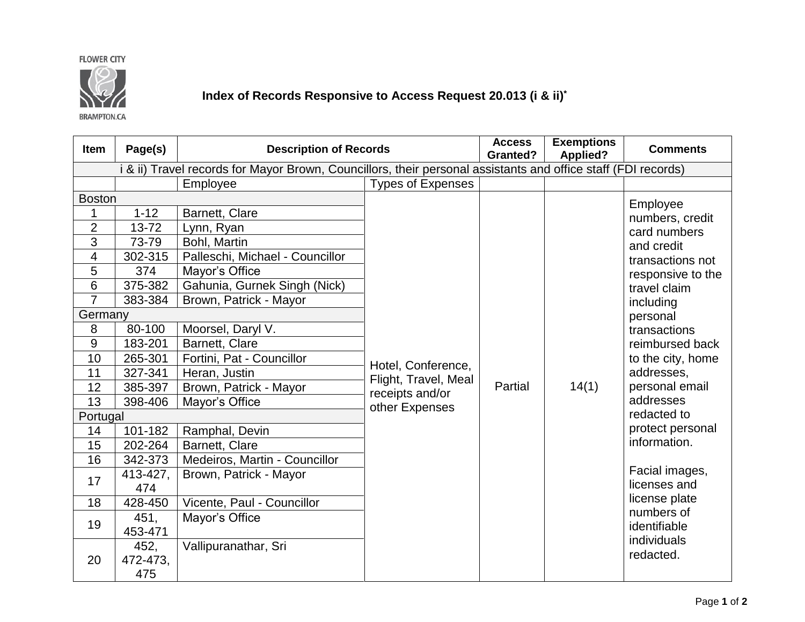## **FLOWER CITY**



**Index of Records Responsive to Access Request 20.013 (i & ii) \***

**BRAMPTON.CA** 

| <b>Item</b>                                                                                                                                                                               | Page(s)                                                                                                                                                                                                                                   | <b>Description of Records</b>                                                                                                                                                                                                                                                                                                                                                                                                                                       |                                                                                 | <b>Access</b><br><b>Granted?</b> | <b>Exemptions</b><br><b>Applied?</b> | <b>Comments</b>                                                                                                                                                                                                                                                                                                                                                                                                  |
|-------------------------------------------------------------------------------------------------------------------------------------------------------------------------------------------|-------------------------------------------------------------------------------------------------------------------------------------------------------------------------------------------------------------------------------------------|---------------------------------------------------------------------------------------------------------------------------------------------------------------------------------------------------------------------------------------------------------------------------------------------------------------------------------------------------------------------------------------------------------------------------------------------------------------------|---------------------------------------------------------------------------------|----------------------------------|--------------------------------------|------------------------------------------------------------------------------------------------------------------------------------------------------------------------------------------------------------------------------------------------------------------------------------------------------------------------------------------------------------------------------------------------------------------|
| i & ii) Travel records for Mayor Brown, Councillors, their personal assistants and office staff (FDI records)                                                                             |                                                                                                                                                                                                                                           |                                                                                                                                                                                                                                                                                                                                                                                                                                                                     |                                                                                 |                                  |                                      |                                                                                                                                                                                                                                                                                                                                                                                                                  |
|                                                                                                                                                                                           |                                                                                                                                                                                                                                           | Employee                                                                                                                                                                                                                                                                                                                                                                                                                                                            | <b>Types of Expenses</b>                                                        |                                  |                                      |                                                                                                                                                                                                                                                                                                                                                                                                                  |
| <b>Boston</b><br>$\overline{2}$<br>3<br>$\overline{4}$<br>5<br>6<br>$\overline{7}$<br>Germany<br>8<br>$9\,$<br>10<br>11<br>12<br>13<br>Portugal<br>14<br>15<br>16<br>17<br>18<br>19<br>20 | $1 - 12$<br>13-72<br>73-79<br>302-315<br>374<br>375-382<br>383-384<br>80-100<br>183-201<br>265-301<br>327-341<br>385-397<br>398-406<br>101-182<br>202-264<br>342-373<br>413-427,<br>474<br>428-450<br>451.<br>453-471<br>452,<br>472-473, | Barnett, Clare<br>Lynn, Ryan<br>Bohl, Martin<br>Palleschi, Michael - Councillor<br>Mayor's Office<br>Gahunia, Gurnek Singh (Nick)<br>Brown, Patrick - Mayor<br>Moorsel, Daryl V.<br>Barnett, Clare<br>Fortini, Pat - Councillor<br>Heran, Justin<br>Brown, Patrick - Mayor<br>Mayor's Office<br>Ramphal, Devin<br>Barnett, Clare<br>Medeiros, Martin - Councillor<br>Brown, Patrick - Mayor<br>Vicente, Paul - Councillor<br>Mayor's Office<br>Vallipuranathar, Sri | Hotel, Conference,<br>Flight, Travel, Meal<br>receipts and/or<br>other Expenses | Partial                          | 14(1)                                | Employee<br>numbers, credit<br>card numbers<br>and credit<br>transactions not<br>responsive to the<br>travel claim<br>including<br>personal<br>transactions<br>reimbursed back<br>to the city, home<br>addresses,<br>personal email<br>addresses<br>redacted to<br>protect personal<br>information.<br>Facial images,<br>licenses and<br>license plate<br>numbers of<br>identifiable<br>individuals<br>redacted. |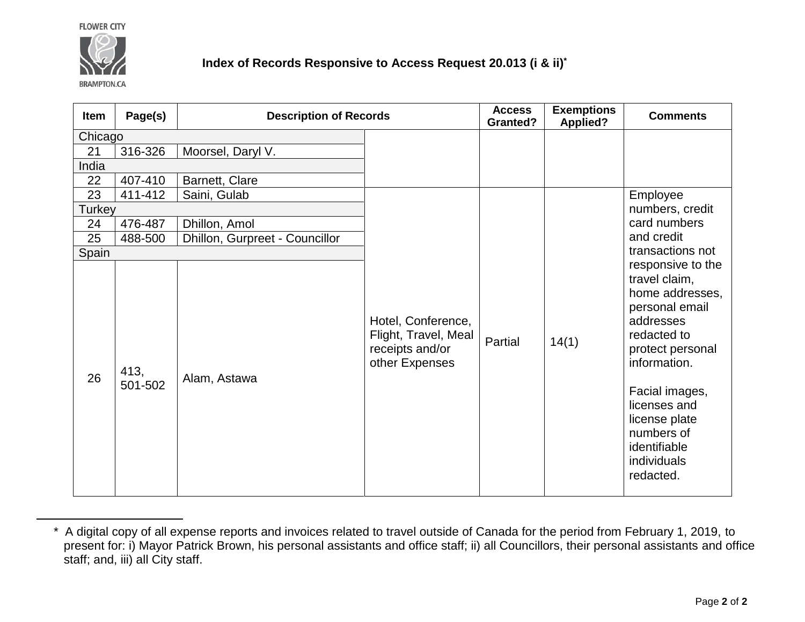



**Index of Records Responsive to Access Request 20.013 (i & ii) \***

**BRAMPTON.CA** 

 $\overline{a}$ 

| <b>Item</b>   | Page(s)         | <b>Description of Records</b>  |                                                                                 | <b>Access</b><br><b>Granted?</b> | <b>Exemptions</b><br><b>Applied?</b> | <b>Comments</b>                                                                                                                                                                                                                                      |
|---------------|-----------------|--------------------------------|---------------------------------------------------------------------------------|----------------------------------|--------------------------------------|------------------------------------------------------------------------------------------------------------------------------------------------------------------------------------------------------------------------------------------------------|
| Chicago       |                 |                                |                                                                                 |                                  |                                      |                                                                                                                                                                                                                                                      |
| 21            | 316-326         | Moorsel, Daryl V.              |                                                                                 |                                  |                                      |                                                                                                                                                                                                                                                      |
| India         |                 |                                |                                                                                 |                                  |                                      |                                                                                                                                                                                                                                                      |
| 22            | 407-410         | Barnett, Clare                 |                                                                                 |                                  |                                      |                                                                                                                                                                                                                                                      |
| 23            | 411-412         | Saini, Gulab                   |                                                                                 |                                  |                                      | Employee                                                                                                                                                                                                                                             |
| <b>Turkey</b> |                 |                                |                                                                                 |                                  |                                      | numbers, credit                                                                                                                                                                                                                                      |
| 24            | 476-487         | Dhillon, Amol                  |                                                                                 |                                  |                                      | card numbers                                                                                                                                                                                                                                         |
| 25            | 488-500         | Dhillon, Gurpreet - Councillor |                                                                                 |                                  |                                      | and credit                                                                                                                                                                                                                                           |
| Spain         |                 |                                |                                                                                 |                                  |                                      | transactions not                                                                                                                                                                                                                                     |
| 26            | 413,<br>501-502 | Alam, Astawa                   | Hotel, Conference,<br>Flight, Travel, Meal<br>receipts and/or<br>other Expenses | Partial                          | 14(1)                                | responsive to the<br>travel claim,<br>home addresses,<br>personal email<br>addresses<br>redacted to<br>protect personal<br>information.<br>Facial images,<br>licenses and<br>license plate<br>numbers of<br>identifiable<br>individuals<br>redacted. |

 <sup>\*</sup> A digital copy of all expense reports and invoices related to travel outside of Canada for the period from February 1, 2019, to present for: i) Mayor Patrick Brown, his personal assistants and office staff; ii) all Councillors, their personal assistants and office staff; and, iii) all City staff.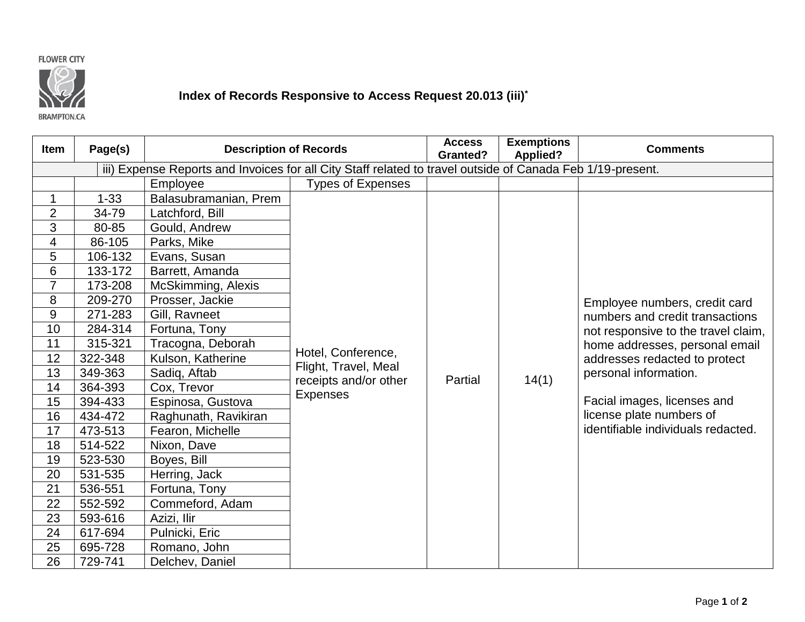



## **Index of Records Responsive to Access Request 20.013 (iii)\***

**BRAMPTON.CA** 

| Item                                                                                                       | Page(s)  | <b>Description of Records</b> | <b>Access</b><br><b>Granted?</b> | <b>Exemptions</b><br><b>Applied?</b>                                                    | <b>Comments</b> |                                                                                               |
|------------------------------------------------------------------------------------------------------------|----------|-------------------------------|----------------------------------|-----------------------------------------------------------------------------------------|-----------------|-----------------------------------------------------------------------------------------------|
| iii) Expense Reports and Invoices for all City Staff related to travel outside of Canada Feb 1/19-present. |          |                               |                                  |                                                                                         |                 |                                                                                               |
|                                                                                                            |          | Employee                      | <b>Types of Expenses</b>         |                                                                                         |                 |                                                                                               |
| 1                                                                                                          | $1 - 33$ | Balasubramanian, Prem         |                                  |                                                                                         |                 |                                                                                               |
| $\overline{2}$                                                                                             | 34-79    | Latchford, Bill               |                                  |                                                                                         |                 |                                                                                               |
| 3                                                                                                          | 80-85    | Gould, Andrew                 |                                  |                                                                                         |                 |                                                                                               |
| 4                                                                                                          | 86-105   | Parks, Mike                   |                                  |                                                                                         |                 |                                                                                               |
| 5                                                                                                          | 106-132  | Evans, Susan                  |                                  |                                                                                         |                 |                                                                                               |
| 6                                                                                                          | 133-172  | Barrett, Amanda               |                                  |                                                                                         |                 |                                                                                               |
| $\overline{7}$                                                                                             | 173-208  | McSkimming, Alexis            |                                  |                                                                                         |                 |                                                                                               |
| 8                                                                                                          | 209-270  | Prosser, Jackie               |                                  |                                                                                         |                 | Employee numbers, credit card                                                                 |
| 9                                                                                                          | 271-283  | Gill, Ravneet                 |                                  |                                                                                         |                 | numbers and credit transactions                                                               |
| 10                                                                                                         | 284-314  | Fortuna, Tony                 |                                  |                                                                                         |                 | not responsive to the travel claim,                                                           |
| 11                                                                                                         | 315-321  | Tracogna, Deborah             |                                  |                                                                                         |                 | home addresses, personal email<br>addresses redacted to protect<br>personal information.      |
| 12                                                                                                         | 322-348  | Kulson, Katherine             |                                  | Hotel, Conference,<br>Flight, Travel, Meal<br>14(1)<br>Partial<br>receipts and/or other |                 |                                                                                               |
| 13                                                                                                         | 349-363  | Sadiq, Aftab                  |                                  |                                                                                         |                 |                                                                                               |
| 14                                                                                                         | 364-393  | Cox, Trevor                   |                                  |                                                                                         |                 |                                                                                               |
| 15                                                                                                         | 394-433  | Espinosa, Gustova             | <b>Expenses</b>                  |                                                                                         |                 | Facial images, licenses and<br>license plate numbers of<br>identifiable individuals redacted. |
| 16                                                                                                         | 434-472  | Raghunath, Ravikiran          |                                  |                                                                                         |                 |                                                                                               |
| 17                                                                                                         | 473-513  | Fearon, Michelle              |                                  |                                                                                         |                 |                                                                                               |
| 18                                                                                                         | 514-522  | Nixon, Dave                   |                                  |                                                                                         |                 |                                                                                               |
| 19                                                                                                         | 523-530  | Boyes, Bill                   |                                  |                                                                                         |                 |                                                                                               |
| 20                                                                                                         | 531-535  | Herring, Jack                 |                                  |                                                                                         |                 |                                                                                               |
| 21                                                                                                         | 536-551  | Fortuna, Tony                 |                                  |                                                                                         |                 |                                                                                               |
| 22                                                                                                         | 552-592  | Commeford, Adam               |                                  |                                                                                         |                 |                                                                                               |
| 23                                                                                                         | 593-616  | Azizi, Ilir                   |                                  |                                                                                         |                 |                                                                                               |
| 24                                                                                                         | 617-694  | Pulnicki, Eric                |                                  |                                                                                         |                 |                                                                                               |
| 25                                                                                                         | 695-728  | Romano, John                  |                                  |                                                                                         |                 |                                                                                               |
| 26                                                                                                         | 729-741  | Delchev, Daniel               |                                  |                                                                                         |                 |                                                                                               |